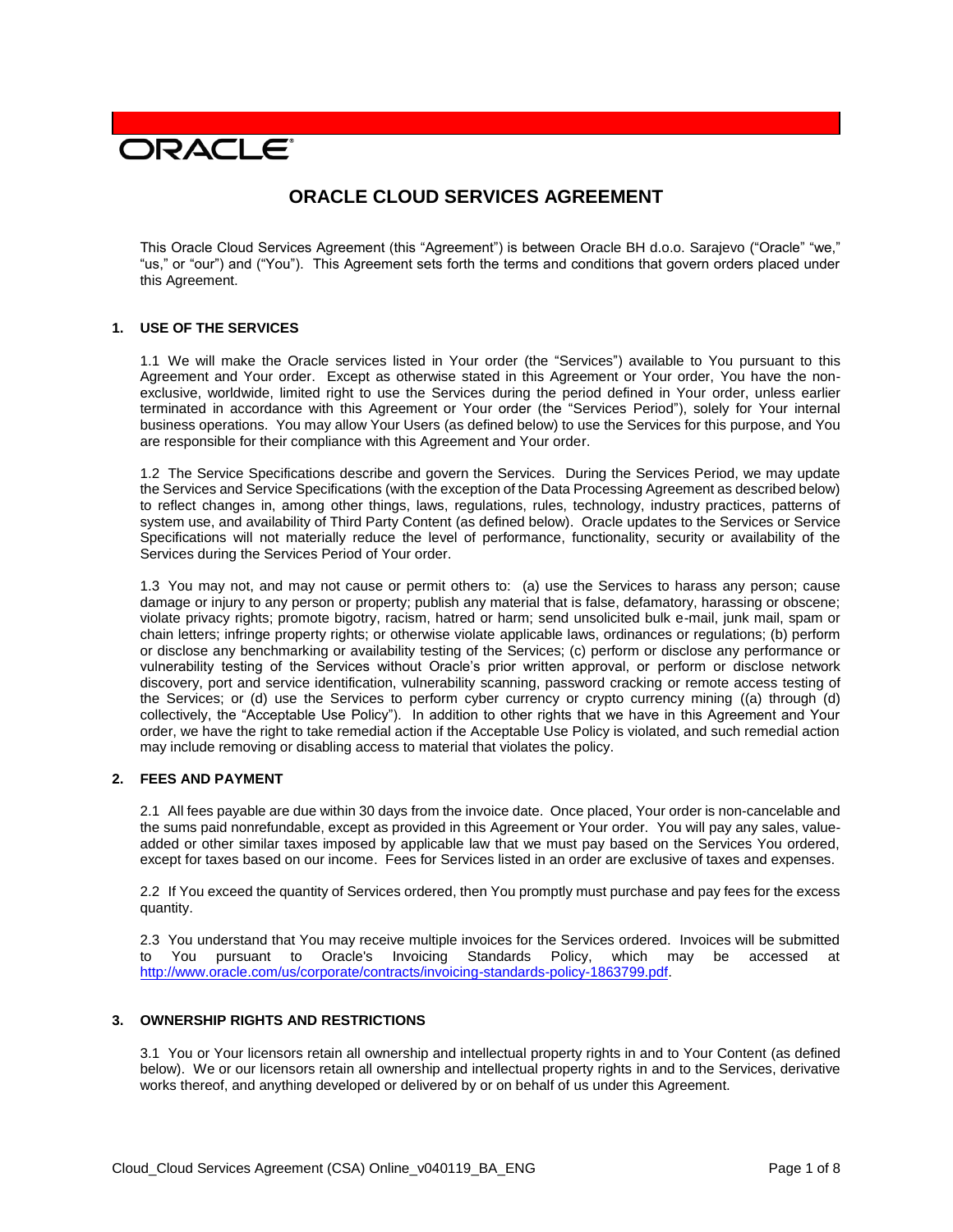# **DRACLE**

# **ORACLE CLOUD SERVICES AGREEMENT**

This Oracle Cloud Services Agreement (this "Agreement") is between Oracle BH d.o.o. Sarajevo ("Oracle" "we," "us," or "our") and ("You"). This Agreement sets forth the terms and conditions that govern orders placed under this Agreement.

#### **1. USE OF THE SERVICES**

1.1 We will make the Oracle services listed in Your order (the "Services") available to You pursuant to this Agreement and Your order. Except as otherwise stated in this Agreement or Your order, You have the nonexclusive, worldwide, limited right to use the Services during the period defined in Your order, unless earlier terminated in accordance with this Agreement or Your order (the "Services Period"), solely for Your internal business operations. You may allow Your Users (as defined below) to use the Services for this purpose, and You are responsible for their compliance with this Agreement and Your order.

1.2 The Service Specifications describe and govern the Services. During the Services Period, we may update the Services and Service Specifications (with the exception of the Data Processing Agreement as described below) to reflect changes in, among other things, laws, regulations, rules, technology, industry practices, patterns of system use, and availability of Third Party Content (as defined below). Oracle updates to the Services or Service Specifications will not materially reduce the level of performance, functionality, security or availability of the Services during the Services Period of Your order.

1.3 You may not, and may not cause or permit others to: (a) use the Services to harass any person; cause damage or injury to any person or property; publish any material that is false, defamatory, harassing or obscene; violate privacy rights; promote bigotry, racism, hatred or harm; send unsolicited bulk e-mail, junk mail, spam or chain letters; infringe property rights; or otherwise violate applicable laws, ordinances or regulations; (b) perform or disclose any benchmarking or availability testing of the Services; (c) perform or disclose any performance or vulnerability testing of the Services without Oracle's prior written approval, or perform or disclose network discovery, port and service identification, vulnerability scanning, password cracking or remote access testing of the Services; or (d) use the Services to perform cyber currency or crypto currency mining ((a) through (d) collectively, the "Acceptable Use Policy"). In addition to other rights that we have in this Agreement and Your order, we have the right to take remedial action if the Acceptable Use Policy is violated, and such remedial action may include removing or disabling access to material that violates the policy.

# **2. FEES AND PAYMENT**

2.1 All fees payable are due within 30 days from the invoice date. Once placed, Your order is non-cancelable and the sums paid nonrefundable, except as provided in this Agreement or Your order. You will pay any sales, valueadded or other similar taxes imposed by applicable law that we must pay based on the Services You ordered, except for taxes based on our income. Fees for Services listed in an order are exclusive of taxes and expenses.

2.2 If You exceed the quantity of Services ordered, then You promptly must purchase and pay fees for the excess quantity.

2.3 You understand that You may receive multiple invoices for the Services ordered. Invoices will be submitted to You pursuant to Oracle's Invoicing Standards Policy, which may be accessed at [http://www.oracle.com/us/corporate/contracts/invoicing-standards-policy-1863799.pdf.](http://www.oracle.com/us/corporate/contracts/invoicing-standards-policy-1863799.pdf)

#### **3. OWNERSHIP RIGHTS AND RESTRICTIONS**

3.1 You or Your licensors retain all ownership and intellectual property rights in and to Your Content (as defined below). We or our licensors retain all ownership and intellectual property rights in and to the Services, derivative works thereof, and anything developed or delivered by or on behalf of us under this Agreement.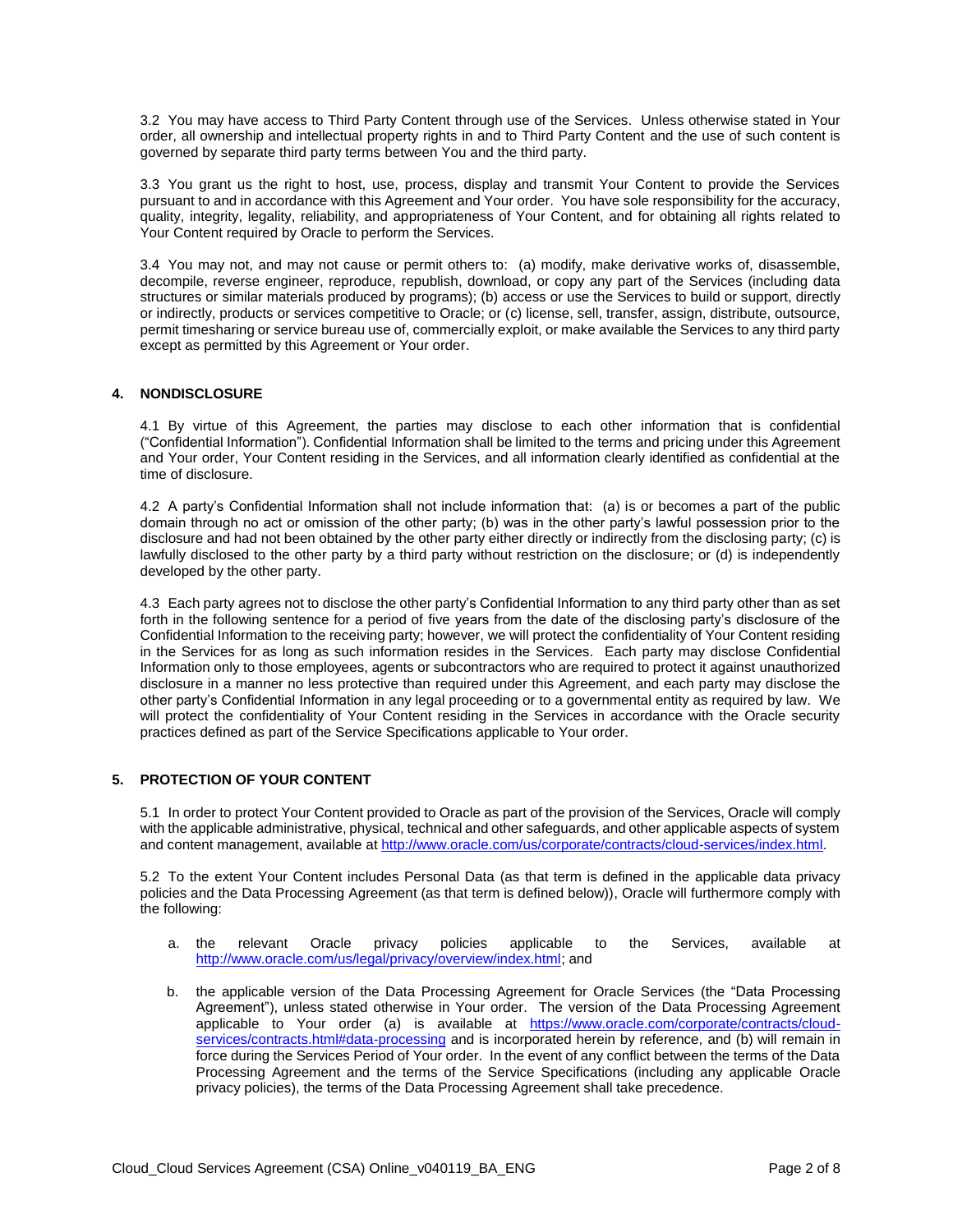3.2 You may have access to Third Party Content through use of the Services. Unless otherwise stated in Your order, all ownership and intellectual property rights in and to Third Party Content and the use of such content is governed by separate third party terms between You and the third party.

3.3 You grant us the right to host, use, process, display and transmit Your Content to provide the Services pursuant to and in accordance with this Agreement and Your order. You have sole responsibility for the accuracy, quality, integrity, legality, reliability, and appropriateness of Your Content, and for obtaining all rights related to Your Content required by Oracle to perform the Services.

3.4 You may not, and may not cause or permit others to: (a) modify, make derivative works of, disassemble, decompile, reverse engineer, reproduce, republish, download, or copy any part of the Services (including data structures or similar materials produced by programs); (b) access or use the Services to build or support, directly or indirectly, products or services competitive to Oracle; or (c) license, sell, transfer, assign, distribute, outsource, permit timesharing or service bureau use of, commercially exploit, or make available the Services to any third party except as permitted by this Agreement or Your order.

# **4. NONDISCLOSURE**

4.1 By virtue of this Agreement, the parties may disclose to each other information that is confidential ("Confidential Information"). Confidential Information shall be limited to the terms and pricing under this Agreement and Your order, Your Content residing in the Services, and all information clearly identified as confidential at the time of disclosure.

4.2 A party's Confidential Information shall not include information that: (a) is or becomes a part of the public domain through no act or omission of the other party; (b) was in the other party's lawful possession prior to the disclosure and had not been obtained by the other party either directly or indirectly from the disclosing party; (c) is lawfully disclosed to the other party by a third party without restriction on the disclosure; or (d) is independently developed by the other party.

4.3 Each party agrees not to disclose the other party's Confidential Information to any third party other than as set forth in the following sentence for a period of five years from the date of the disclosing party's disclosure of the Confidential Information to the receiving party; however, we will protect the confidentiality of Your Content residing in the Services for as long as such information resides in the Services. Each party may disclose Confidential Information only to those employees, agents or subcontractors who are required to protect it against unauthorized disclosure in a manner no less protective than required under this Agreement, and each party may disclose the other party's Confidential Information in any legal proceeding or to a governmental entity as required by law. We will protect the confidentiality of Your Content residing in the Services in accordance with the Oracle security practices defined as part of the Service Specifications applicable to Your order.

# **5. PROTECTION OF YOUR CONTENT**

5.1 In order to protect Your Content provided to Oracle as part of the provision of the Services, Oracle will comply with the applicable administrative, physical, technical and other safeguards, and other applicable aspects of system and content management, available at [http://www.oracle.com/us/corporate/contracts/cloud-services/index.html.](http://www.oracle.com/us/corporate/contracts/cloud-services/index.html)

5.2 To the extent Your Content includes Personal Data (as that term is defined in the applicable data privacy policies and the Data Processing Agreement (as that term is defined below)), Oracle will furthermore comply with the following:

- a. the relevant Oracle privacy policies applicable to the Services, available at [http://www.oracle.com/us/legal/privacy/overview/index.html;](http://www.oracle.com/us/legal/privacy/overview/index.html) and
- b. the applicable version of the Data Processing Agreement for Oracle Services (the "Data Processing Agreement"), unless stated otherwise in Your order. The version of the Data Processing Agreement applicable to Your order (a) is available at [https://www.oracle.com/corporate/contracts/cloud](https://www.oracle.com/corporate/contracts/cloud-services/contracts.html#data-processing)[services/contracts.html#data-processing](https://www.oracle.com/corporate/contracts/cloud-services/contracts.html#data-processing) and is incorporated herein by reference, and (b) will remain in force during the Services Period of Your order. In the event of any conflict between the terms of the Data Processing Agreement and the terms of the Service Specifications (including any applicable Oracle privacy policies), the terms of the Data Processing Agreement shall take precedence.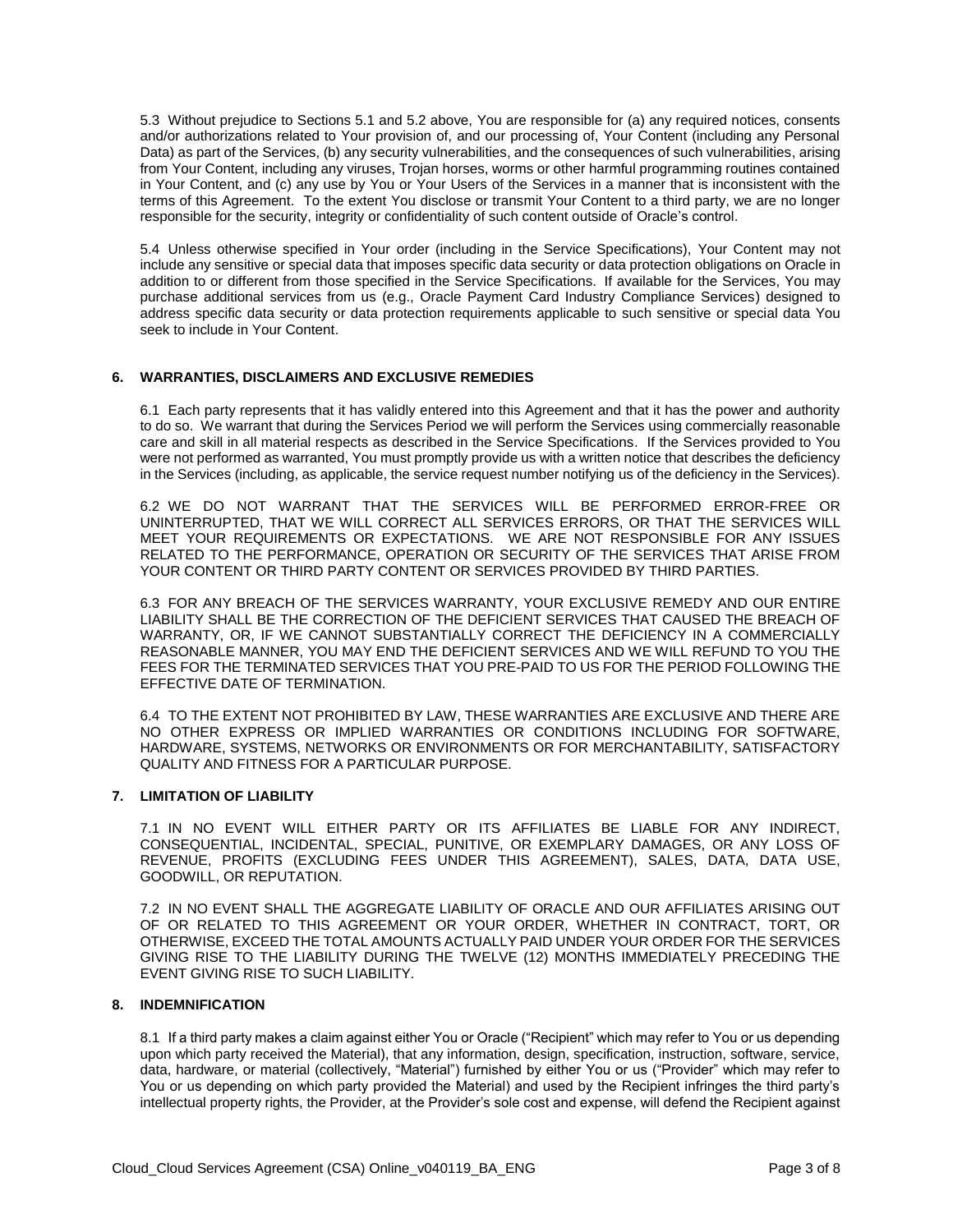5.3 Without prejudice to Sections 5.1 and 5.2 above, You are responsible for (a) any required notices, consents and/or authorizations related to Your provision of, and our processing of, Your Content (including any Personal Data) as part of the Services, (b) any security vulnerabilities, and the consequences of such vulnerabilities, arising from Your Content, including any viruses, Trojan horses, worms or other harmful programming routines contained in Your Content, and (c) any use by You or Your Users of the Services in a manner that is inconsistent with the terms of this Agreement. To the extent You disclose or transmit Your Content to a third party, we are no longer responsible for the security, integrity or confidentiality of such content outside of Oracle's control.

5.4 Unless otherwise specified in Your order (including in the Service Specifications), Your Content may not include any sensitive or special data that imposes specific data security or data protection obligations on Oracle in addition to or different from those specified in the Service Specifications. If available for the Services, You may purchase additional services from us (e.g., Oracle Payment Card Industry Compliance Services) designed to address specific data security or data protection requirements applicable to such sensitive or special data You seek to include in Your Content.

#### **6. WARRANTIES, DISCLAIMERS AND EXCLUSIVE REMEDIES**

6.1 Each party represents that it has validly entered into this Agreement and that it has the power and authority to do so. We warrant that during the Services Period we will perform the Services using commercially reasonable care and skill in all material respects as described in the Service Specifications. If the Services provided to You were not performed as warranted, You must promptly provide us with a written notice that describes the deficiency in the Services (including, as applicable, the service request number notifying us of the deficiency in the Services).

6.2 WE DO NOT WARRANT THAT THE SERVICES WILL BE PERFORMED ERROR-FREE OR UNINTERRUPTED, THAT WE WILL CORRECT ALL SERVICES ERRORS, OR THAT THE SERVICES WILL MEET YOUR REQUIREMENTS OR EXPECTATIONS. WE ARE NOT RESPONSIBLE FOR ANY ISSUES RELATED TO THE PERFORMANCE, OPERATION OR SECURITY OF THE SERVICES THAT ARISE FROM YOUR CONTENT OR THIRD PARTY CONTENT OR SERVICES PROVIDED BY THIRD PARTIES.

6.3 FOR ANY BREACH OF THE SERVICES WARRANTY, YOUR EXCLUSIVE REMEDY AND OUR ENTIRE LIABILITY SHALL BE THE CORRECTION OF THE DEFICIENT SERVICES THAT CAUSED THE BREACH OF WARRANTY, OR, IF WE CANNOT SUBSTANTIALLY CORRECT THE DEFICIENCY IN A COMMERCIALLY REASONABLE MANNER, YOU MAY END THE DEFICIENT SERVICES AND WE WILL REFUND TO YOU THE FEES FOR THE TERMINATED SERVICES THAT YOU PRE-PAID TO US FOR THE PERIOD FOLLOWING THE EFFECTIVE DATE OF TERMINATION.

6.4 TO THE EXTENT NOT PROHIBITED BY LAW, THESE WARRANTIES ARE EXCLUSIVE AND THERE ARE NO OTHER EXPRESS OR IMPLIED WARRANTIES OR CONDITIONS INCLUDING FOR SOFTWARE, HARDWARE, SYSTEMS, NETWORKS OR ENVIRONMENTS OR FOR MERCHANTABILITY, SATISFACTORY QUALITY AND FITNESS FOR A PARTICULAR PURPOSE.

#### **7. LIMITATION OF LIABILITY**

7.1 IN NO EVENT WILL EITHER PARTY OR ITS AFFILIATES BE LIABLE FOR ANY INDIRECT, CONSEQUENTIAL, INCIDENTAL, SPECIAL, PUNITIVE, OR EXEMPLARY DAMAGES, OR ANY LOSS OF REVENUE, PROFITS (EXCLUDING FEES UNDER THIS AGREEMENT), SALES, DATA, DATA USE, GOODWILL, OR REPUTATION.

7.2 IN NO EVENT SHALL THE AGGREGATE LIABILITY OF ORACLE AND OUR AFFILIATES ARISING OUT OF OR RELATED TO THIS AGREEMENT OR YOUR ORDER, WHETHER IN CONTRACT, TORT, OR OTHERWISE, EXCEED THE TOTAL AMOUNTS ACTUALLY PAID UNDER YOUR ORDER FOR THE SERVICES GIVING RISE TO THE LIABILITY DURING THE TWELVE (12) MONTHS IMMEDIATELY PRECEDING THE EVENT GIVING RISE TO SUCH LIABILITY.

#### **8. INDEMNIFICATION**

8.1 If a third party makes a claim against either You or Oracle ("Recipient" which may refer to You or us depending upon which party received the Material), that any information, design, specification, instruction, software, service, data, hardware, or material (collectively, "Material") furnished by either You or us ("Provider" which may refer to You or us depending on which party provided the Material) and used by the Recipient infringes the third party's intellectual property rights, the Provider, at the Provider's sole cost and expense, will defend the Recipient against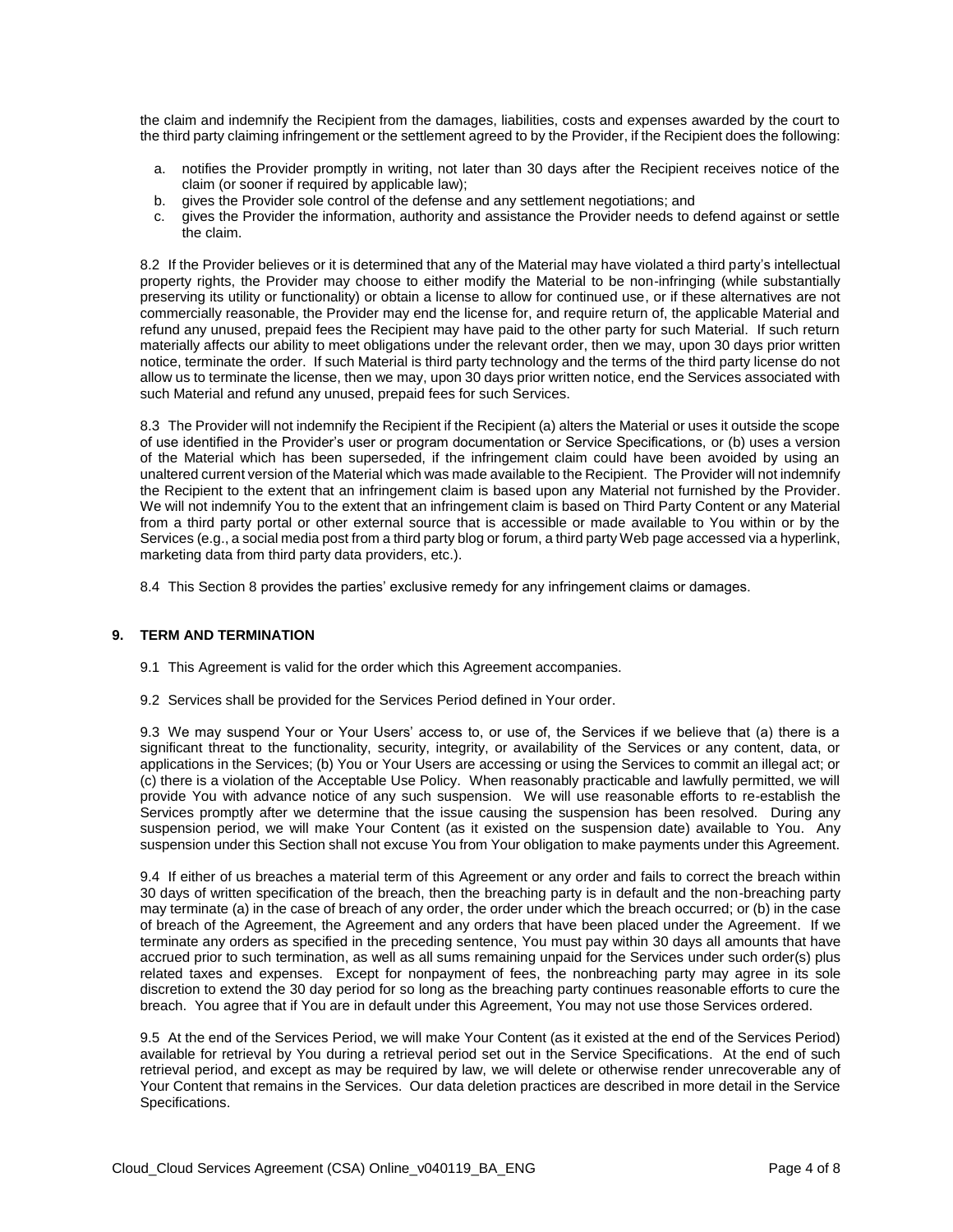the claim and indemnify the Recipient from the damages, liabilities, costs and expenses awarded by the court to the third party claiming infringement or the settlement agreed to by the Provider, if the Recipient does the following:

- a. notifies the Provider promptly in writing, not later than 30 days after the Recipient receives notice of the claim (or sooner if required by applicable law);
- b. gives the Provider sole control of the defense and any settlement negotiations; and
- c. gives the Provider the information, authority and assistance the Provider needs to defend against or settle the claim.

8.2 If the Provider believes or it is determined that any of the Material may have violated a third party's intellectual property rights, the Provider may choose to either modify the Material to be non-infringing (while substantially preserving its utility or functionality) or obtain a license to allow for continued use, or if these alternatives are not commercially reasonable, the Provider may end the license for, and require return of, the applicable Material and refund any unused, prepaid fees the Recipient may have paid to the other party for such Material. If such return materially affects our ability to meet obligations under the relevant order, then we may, upon 30 days prior written notice, terminate the order. If such Material is third party technology and the terms of the third party license do not allow us to terminate the license, then we may, upon 30 days prior written notice, end the Services associated with such Material and refund any unused, prepaid fees for such Services.

8.3 The Provider will not indemnify the Recipient if the Recipient (a) alters the Material or uses it outside the scope of use identified in the Provider's user or program documentation or Service Specifications, or (b) uses a version of the Material which has been superseded, if the infringement claim could have been avoided by using an unaltered current version of the Material which was made available to the Recipient. The Provider will not indemnify the Recipient to the extent that an infringement claim is based upon any Material not furnished by the Provider. We will not indemnify You to the extent that an infringement claim is based on Third Party Content or any Material from a third party portal or other external source that is accessible or made available to You within or by the Services (e.g., a social media post from a third party blog or forum, a third party Web page accessed via a hyperlink, marketing data from third party data providers, etc.).

8.4 This Section 8 provides the parties' exclusive remedy for any infringement claims or damages.

#### **9. TERM AND TERMINATION**

- 9.1 This Agreement is valid for the order which this Agreement accompanies.
- 9.2 Services shall be provided for the Services Period defined in Your order.

9.3 We may suspend Your or Your Users' access to, or use of, the Services if we believe that (a) there is a significant threat to the functionality, security, integrity, or availability of the Services or any content, data, or applications in the Services; (b) You or Your Users are accessing or using the Services to commit an illegal act; or (c) there is a violation of the Acceptable Use Policy. When reasonably practicable and lawfully permitted, we will provide You with advance notice of any such suspension. We will use reasonable efforts to re-establish the Services promptly after we determine that the issue causing the suspension has been resolved. During any suspension period, we will make Your Content (as it existed on the suspension date) available to You. Any suspension under this Section shall not excuse You from Your obligation to make payments under this Agreement.

9.4 If either of us breaches a material term of this Agreement or any order and fails to correct the breach within 30 days of written specification of the breach, then the breaching party is in default and the non-breaching party may terminate (a) in the case of breach of any order, the order under which the breach occurred; or (b) in the case of breach of the Agreement, the Agreement and any orders that have been placed under the Agreement. If we terminate any orders as specified in the preceding sentence, You must pay within 30 days all amounts that have accrued prior to such termination, as well as all sums remaining unpaid for the Services under such order(s) plus related taxes and expenses. Except for nonpayment of fees, the nonbreaching party may agree in its sole discretion to extend the 30 day period for so long as the breaching party continues reasonable efforts to cure the breach. You agree that if You are in default under this Agreement, You may not use those Services ordered.

9.5 At the end of the Services Period, we will make Your Content (as it existed at the end of the Services Period) available for retrieval by You during a retrieval period set out in the Service Specifications. At the end of such retrieval period, and except as may be required by law, we will delete or otherwise render unrecoverable any of Your Content that remains in the Services. Our data deletion practices are described in more detail in the Service Specifications.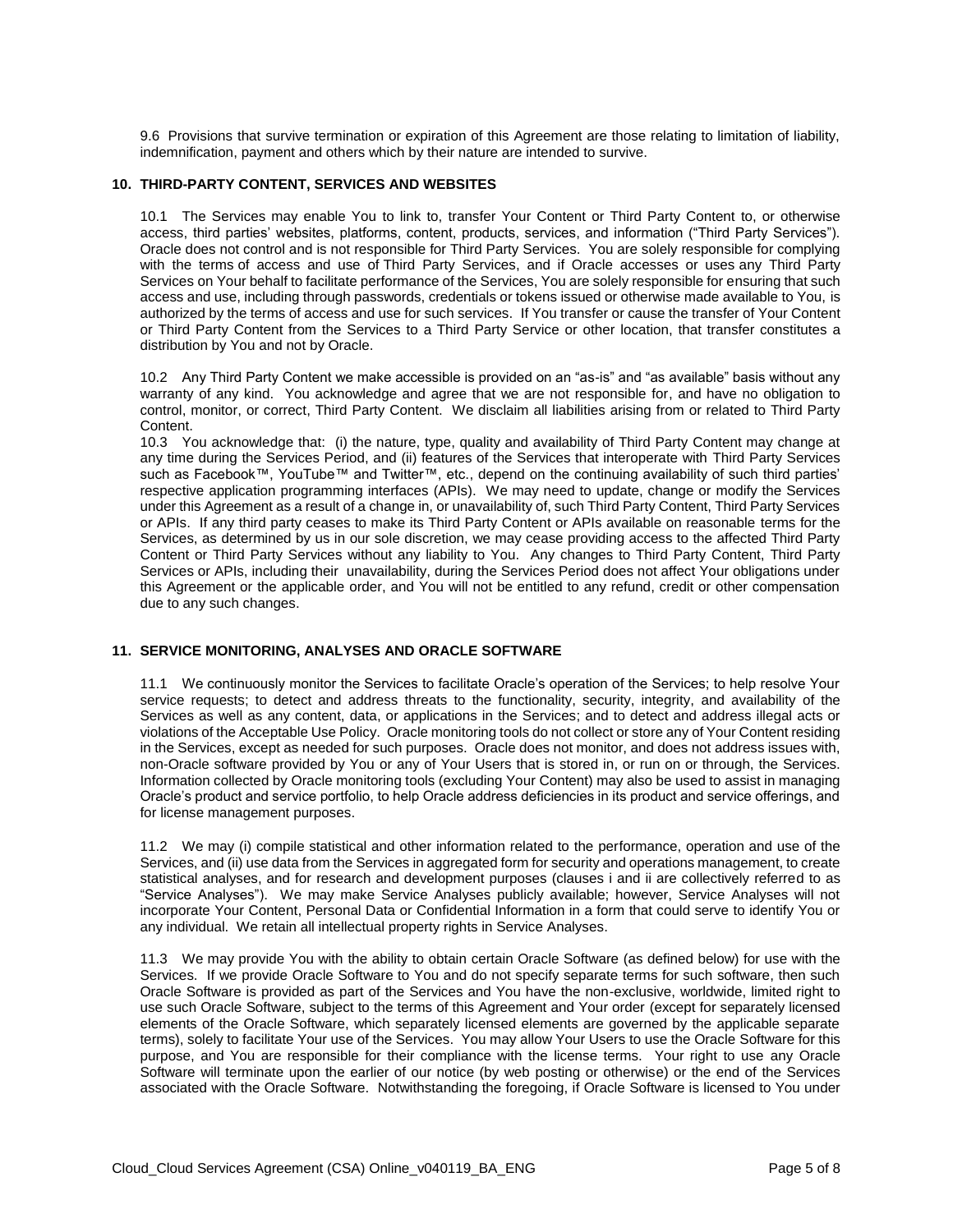9.6 Provisions that survive termination or expiration of this Agreement are those relating to limitation of liability, indemnification, payment and others which by their nature are intended to survive.

#### **10. THIRD-PARTY CONTENT, SERVICES AND WEBSITES**

10.1 The Services may enable You to link to, transfer Your Content or Third Party Content to, or otherwise access, third parties' websites, platforms, content, products, services, and information ("Third Party Services"). Oracle does not control and is not responsible for Third Party Services. You are solely responsible for complying with the terms of access and use of Third Party Services, and if Oracle accesses or uses any Third Party Services on Your behalf to facilitate performance of the Services, You are solely responsible for ensuring that such access and use, including through passwords, credentials or tokens issued or otherwise made available to You, is authorized by the terms of access and use for such services. If You transfer or cause the transfer of Your Content or Third Party Content from the Services to a Third Party Service or other location, that transfer constitutes a distribution by You and not by Oracle.

10.2 Any Third Party Content we make accessible is provided on an "as-is" and "as available" basis without any warranty of any kind. You acknowledge and agree that we are not responsible for, and have no obligation to control, monitor, or correct, Third Party Content. We disclaim all liabilities arising from or related to Third Party Content.

10.3 You acknowledge that: (i) the nature, type, quality and availability of Third Party Content may change at any time during the Services Period, and (ii) features of the Services that interoperate with Third Party Services such as Facebook™, YouTube™ and Twitter™, etc., depend on the continuing availability of such third parties' respective application programming interfaces (APIs). We may need to update, change or modify the Services under this Agreement as a result of a change in, or unavailability of, such Third Party Content, Third Party Services or APIs. If any third party ceases to make its Third Party Content or APIs available on reasonable terms for the Services, as determined by us in our sole discretion, we may cease providing access to the affected Third Party Content or Third Party Services without any liability to You. Any changes to Third Party Content, Third Party Services or APIs, including their unavailability, during the Services Period does not affect Your obligations under this Agreement or the applicable order, and You will not be entitled to any refund, credit or other compensation due to any such changes.

#### **11. SERVICE MONITORING, ANALYSES AND ORACLE SOFTWARE**

11.1 We continuously monitor the Services to facilitate Oracle's operation of the Services; to help resolve Your service requests; to detect and address threats to the functionality, security, integrity, and availability of the Services as well as any content, data, or applications in the Services; and to detect and address illegal acts or violations of the Acceptable Use Policy. Oracle monitoring tools do not collect or store any of Your Content residing in the Services, except as needed for such purposes. Oracle does not monitor, and does not address issues with, non-Oracle software provided by You or any of Your Users that is stored in, or run on or through, the Services. Information collected by Oracle monitoring tools (excluding Your Content) may also be used to assist in managing Oracle's product and service portfolio, to help Oracle address deficiencies in its product and service offerings, and for license management purposes.

11.2 We may (i) compile statistical and other information related to the performance, operation and use of the Services, and (ii) use data from the Services in aggregated form for security and operations management, to create statistical analyses, and for research and development purposes (clauses i and ii are collectively referred to as "Service Analyses"). We may make Service Analyses publicly available; however, Service Analyses will not incorporate Your Content, Personal Data or Confidential Information in a form that could serve to identify You or any individual. We retain all intellectual property rights in Service Analyses.

11.3 We may provide You with the ability to obtain certain Oracle Software (as defined below) for use with the Services. If we provide Oracle Software to You and do not specify separate terms for such software, then such Oracle Software is provided as part of the Services and You have the non-exclusive, worldwide, limited right to use such Oracle Software, subject to the terms of this Agreement and Your order (except for separately licensed elements of the Oracle Software, which separately licensed elements are governed by the applicable separate terms), solely to facilitate Your use of the Services. You may allow Your Users to use the Oracle Software for this purpose, and You are responsible for their compliance with the license terms. Your right to use any Oracle Software will terminate upon the earlier of our notice (by web posting or otherwise) or the end of the Services associated with the Oracle Software. Notwithstanding the foregoing, if Oracle Software is licensed to You under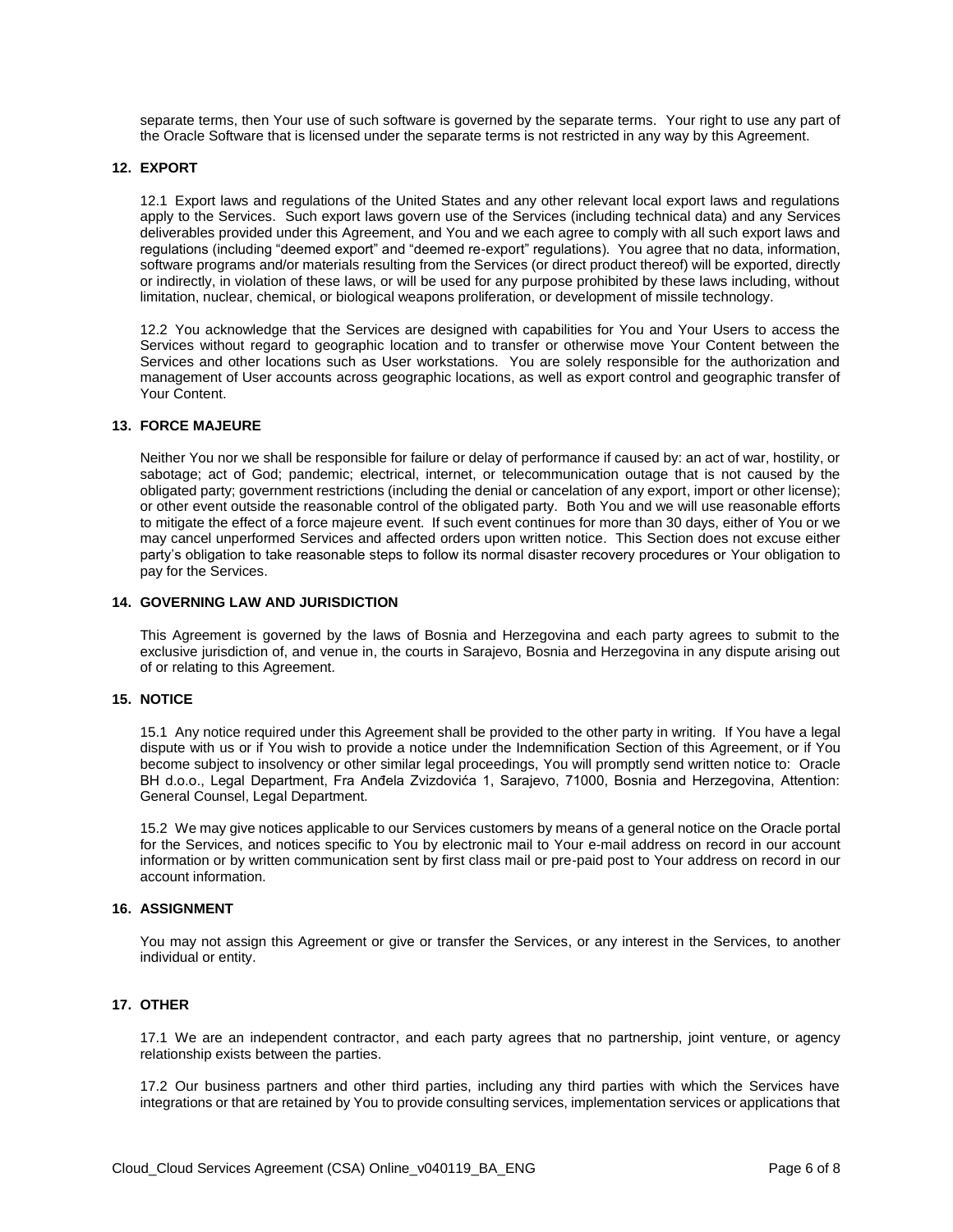separate terms, then Your use of such software is governed by the separate terms. Your right to use any part of the Oracle Software that is licensed under the separate terms is not restricted in any way by this Agreement.

#### **12. EXPORT**

12.1 Export laws and regulations of the United States and any other relevant local export laws and regulations apply to the Services. Such export laws govern use of the Services (including technical data) and any Services deliverables provided under this Agreement, and You and we each agree to comply with all such export laws and regulations (including "deemed export" and "deemed re-export" regulations). You agree that no data, information, software programs and/or materials resulting from the Services (or direct product thereof) will be exported, directly or indirectly, in violation of these laws, or will be used for any purpose prohibited by these laws including, without limitation, nuclear, chemical, or biological weapons proliferation, or development of missile technology.

12.2 You acknowledge that the Services are designed with capabilities for You and Your Users to access the Services without regard to geographic location and to transfer or otherwise move Your Content between the Services and other locations such as User workstations. You are solely responsible for the authorization and management of User accounts across geographic locations, as well as export control and geographic transfer of Your Content.

#### **13. FORCE MAJEURE**

Neither You nor we shall be responsible for failure or delay of performance if caused by: an act of war, hostility, or sabotage; act of God; pandemic; electrical, internet, or telecommunication outage that is not caused by the obligated party; government restrictions (including the denial or cancelation of any export, import or other license); or other event outside the reasonable control of the obligated party. Both You and we will use reasonable efforts to mitigate the effect of a force majeure event. If such event continues for more than 30 days, either of You or we may cancel unperformed Services and affected orders upon written notice. This Section does not excuse either party's obligation to take reasonable steps to follow its normal disaster recovery procedures or Your obligation to pay for the Services.

#### **14. GOVERNING LAW AND JURISDICTION**

This Agreement is governed by the laws of Bosnia and Herzegovina and each party agrees to submit to the exclusive jurisdiction of, and venue in, the courts in Sarajevo, Bosnia and Herzegovina in any dispute arising out of or relating to this Agreement.

#### **15. NOTICE**

15.1 Any notice required under this Agreement shall be provided to the other party in writing. If You have a legal dispute with us or if You wish to provide a notice under the Indemnification Section of this Agreement, or if You become subject to insolvency or other similar legal proceedings, You will promptly send written notice to: Oracle BH d.o.o., Legal Department, Fra Anđela Zvizdovića 1, Sarajevo, 71000, Bosnia and Herzegovina, Attention: General Counsel, Legal Department.

15.2 We may give notices applicable to our Services customers by means of a general notice on the Oracle portal for the Services, and notices specific to You by electronic mail to Your e-mail address on record in our account information or by written communication sent by first class mail or pre-paid post to Your address on record in our account information.

#### **16. ASSIGNMENT**

You may not assign this Agreement or give or transfer the Services, or any interest in the Services, to another individual or entity.

# **17. OTHER**

17.1 We are an independent contractor, and each party agrees that no partnership, joint venture, or agency relationship exists between the parties.

17.2 Our business partners and other third parties, including any third parties with which the Services have integrations or that are retained by You to provide consulting services, implementation services or applications that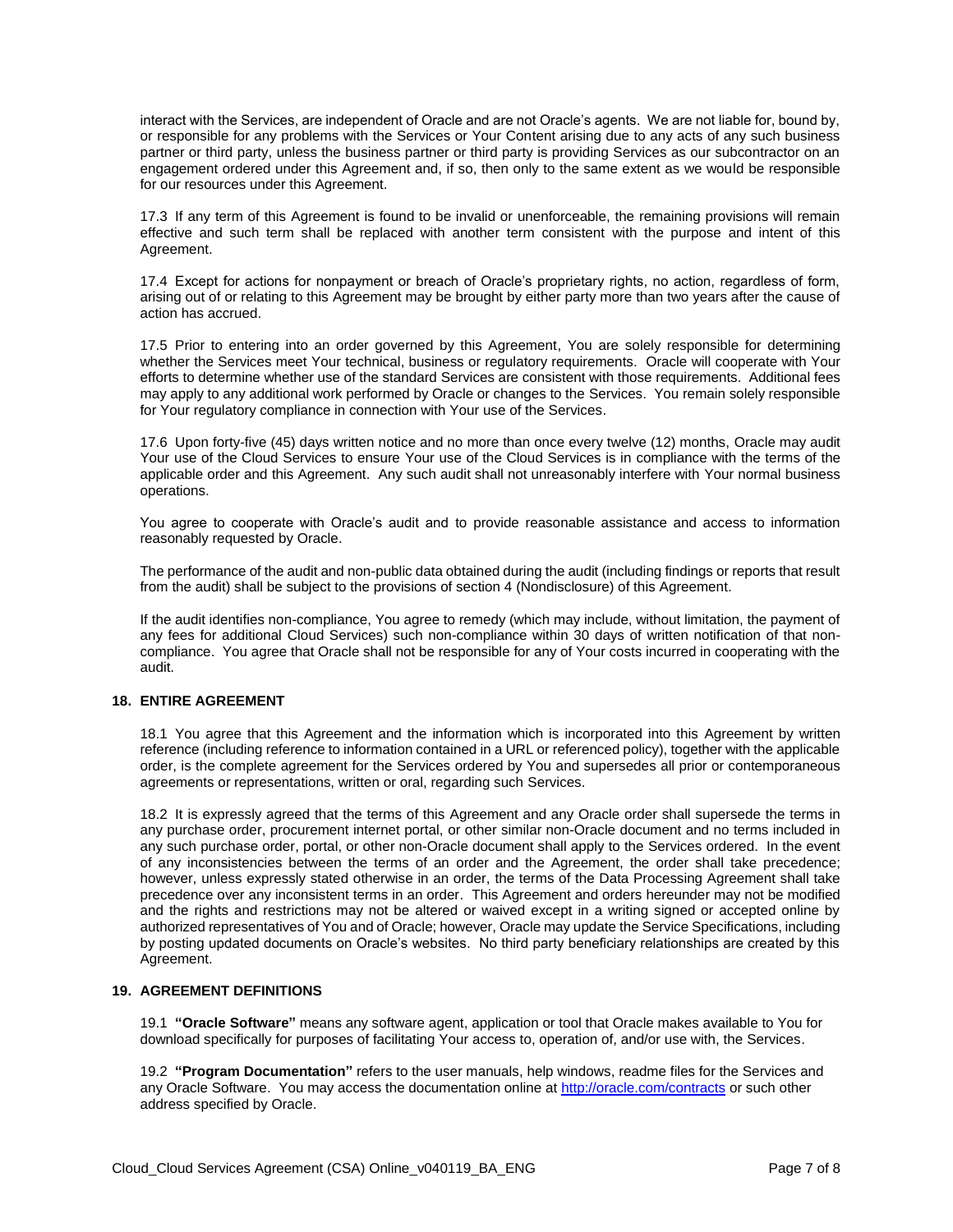interact with the Services, are independent of Oracle and are not Oracle's agents. We are not liable for, bound by, or responsible for any problems with the Services or Your Content arising due to any acts of any such business partner or third party, unless the business partner or third party is providing Services as our subcontractor on an engagement ordered under this Agreement and, if so, then only to the same extent as we would be responsible for our resources under this Agreement.

17.3 If any term of this Agreement is found to be invalid or unenforceable, the remaining provisions will remain effective and such term shall be replaced with another term consistent with the purpose and intent of this Agreement.

17.4 Except for actions for nonpayment or breach of Oracle's proprietary rights, no action, regardless of form, arising out of or relating to this Agreement may be brought by either party more than two years after the cause of action has accrued.

17.5 Prior to entering into an order governed by this Agreement, You are solely responsible for determining whether the Services meet Your technical, business or regulatory requirements. Oracle will cooperate with Your efforts to determine whether use of the standard Services are consistent with those requirements. Additional fees may apply to any additional work performed by Oracle or changes to the Services. You remain solely responsible for Your regulatory compliance in connection with Your use of the Services.

17.6 Upon forty-five (45) days written notice and no more than once every twelve (12) months, Oracle may audit Your use of the Cloud Services to ensure Your use of the Cloud Services is in compliance with the terms of the applicable order and this Agreement. Any such audit shall not unreasonably interfere with Your normal business operations.

You agree to cooperate with Oracle's audit and to provide reasonable assistance and access to information reasonably requested by Oracle.

The performance of the audit and non-public data obtained during the audit (including findings or reports that result from the audit) shall be subject to the provisions of section 4 (Nondisclosure) of this Agreement.

If the audit identifies non-compliance, You agree to remedy (which may include, without limitation, the payment of any fees for additional Cloud Services) such non-compliance within 30 days of written notification of that noncompliance. You agree that Oracle shall not be responsible for any of Your costs incurred in cooperating with the audit.

# **18. ENTIRE AGREEMENT**

18.1 You agree that this Agreement and the information which is incorporated into this Agreement by written reference (including reference to information contained in a URL or referenced policy), together with the applicable order, is the complete agreement for the Services ordered by You and supersedes all prior or contemporaneous agreements or representations, written or oral, regarding such Services.

18.2 It is expressly agreed that the terms of this Agreement and any Oracle order shall supersede the terms in any purchase order, procurement internet portal, or other similar non-Oracle document and no terms included in any such purchase order, portal, or other non-Oracle document shall apply to the Services ordered. In the event of any inconsistencies between the terms of an order and the Agreement, the order shall take precedence; however, unless expressly stated otherwise in an order, the terms of the Data Processing Agreement shall take precedence over any inconsistent terms in an order. This Agreement and orders hereunder may not be modified and the rights and restrictions may not be altered or waived except in a writing signed or accepted online by authorized representatives of You and of Oracle; however, Oracle may update the Service Specifications, including by posting updated documents on Oracle's websites. No third party beneficiary relationships are created by this Agreement.

#### **19. AGREEMENT DEFINITIONS**

19.1 **"Oracle Software"** means any software agent, application or tool that Oracle makes available to You for download specifically for purposes of facilitating Your access to, operation of, and/or use with, the Services.

19.2 **"Program Documentation"** refers to the user manuals, help windows, readme files for the Services and any Oracle Software. You may access the documentation online a[t http://oracle.com/contracts](http://oracle.com/contracts) or such other address specified by Oracle.